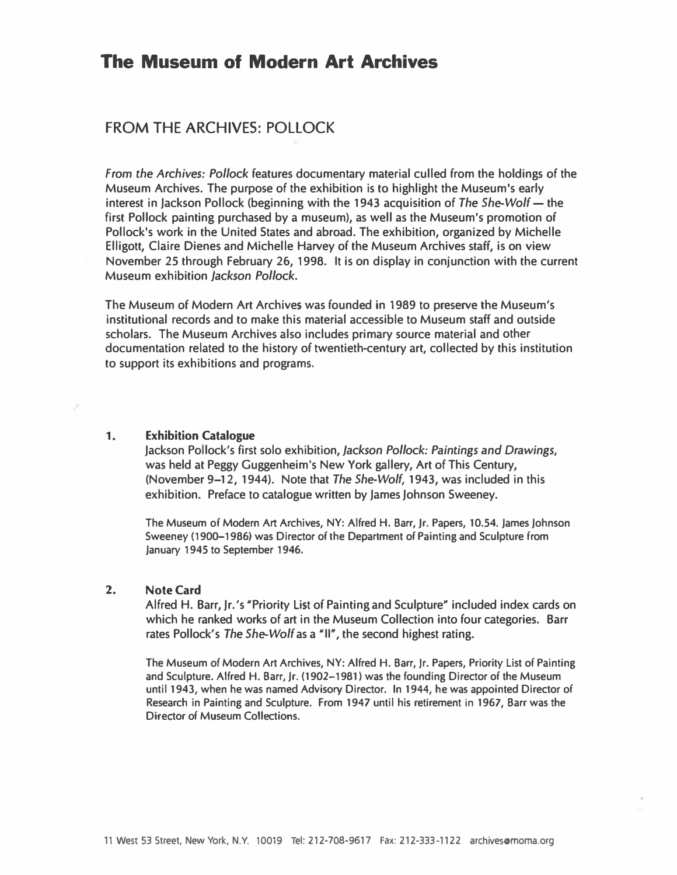# The Museum of Modern Art Archives

## FROM THE ARCHIVES: POLLOCK

From the Archives: Pollock features documentary material culled from the holdings of the Museum Archives. The purpose of the exhibition is to highlight the Museum's early interest in Jackson Pollock (beginning with the 1943 acquisition of The She-Wolf  $-$  the first Pollock painting purchased by a museum), as well as the Museum's promotion of Pollock's work in the United States and abroad. The exhibition, organized by Michelle Elligott, Claire Dienes and Michelle Harvey of the Museum Archives staff, is on view November 25 through February 26, 1998. It is on display in conjunction with the current Museum exhibition Jackson Pollock.

The Museum of Modern Art Archives was founded in 1989 to preserve the Museum's institutional records and to make this material accessible to Museum staff and outside scholars. The Museum Archives also includes primary source material and other documentation related to the history of twentieth-century art, collected by this institution to support its exhibitions and programs.

### 1. Exhibition Catalogue

Jackson Pollock's first solo exhibition, Jackson Pollock: Paintings and Drawings, was held at Peggy Guggenheim's New York gallery, Art of This Century, ( November 9-12, 1944). Note that The She-Wolf, 1943, was included in this exhibition. Preface to catalogue written by James Johnson Sweeney.

The Museum of Modern Art Archives, NY: Alfred H. Barr, Jr. Papers, 10.54. James Johnson Sweeney ( 1900-1986) was Director of the Department of Painting and Sculpture from January 1945 to September 1946.

### 2. Note Card

Alfred H. Barr, Jr.'s " Priority List of Painting and Sculpture" included index cards on which he ranked works of art in the Museum Collection into four categories. Barr rates Pollock's The She-Wolf as a "II", the second highest rating.

The Museum of Modern Art Archives, NY: Alfred H. Barr, Jr. Papers, Priority List of Painting and Sculpture. Alfred H. Barr, Jr. (1902-1981) was the founding Director of the Museum until 1943, when he was named Advisory Director. In 1944, he was appointed Director of Research in Painting and Sculpture. From 1947 until his retirement in 1967, Barr was the Director of Museum Collections.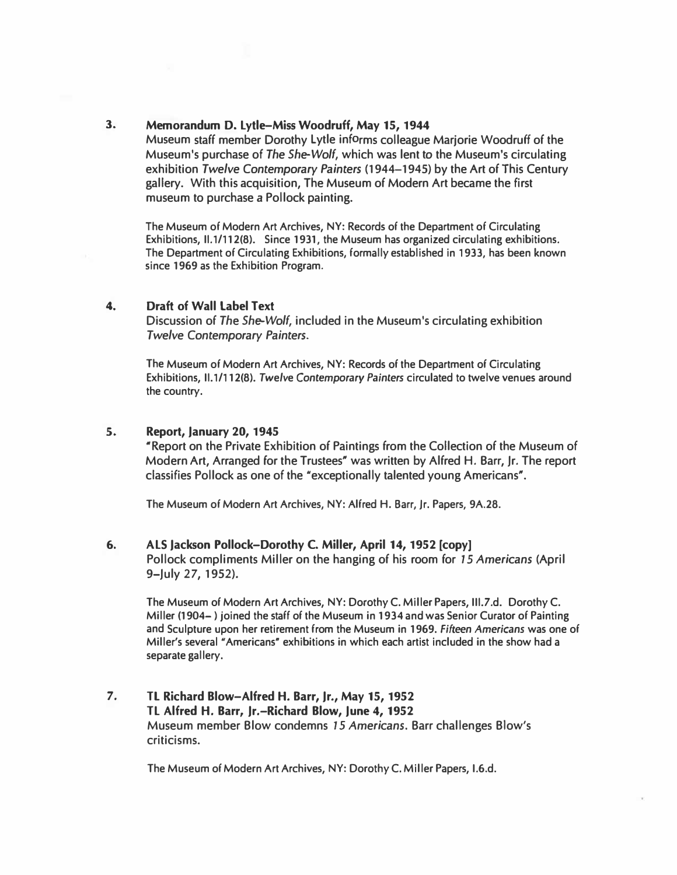### 3. Memorandum D. Lytle-Miss Woodruff, May 15, 1944

Museum staff member Dorothy Lytle informs colleague Marjorie Woodruff of the Museum's purchase of The She-Wolf, which was lent to the Museum's circulating exhibition Twelve Contemporary Painters ( 1944- 1945) by the Art of This Century gallery. With this acquisition, The Museum of Modern Art became the first museum to purchase a Pollock painting.

The Museum of Modern Art Archives, NY: Records of the Department of Circulating Exhibitions, 11.1/112(8). Since 1931, the Museum has organized circulating exhibitions. The Department of Circulating Exhibitions, formally established in 1933, has been known since 1969 as the Exhibition Program.

### 4. Draft of Wall Label Text

Discussion of The She-Wolf, included in the Museum's circulating exhibition Twelve Contemporary Painters.

The Museum of Modern Art Archives, NY: Records of the Department of Circulating Exhibitions, 11.1/112(8). Twelve Contemporary Painters circulated to twelve venues around the country.

### S. Report, January 20, 1945

" Report on the Private Exhibition of Paintings from the Collection of the Museum of Modern Art, Arranged for the Trustees" was written by Alfred H. Barr, Jr. The report classifies Pollock as one of the "exceptionally talented young Americans".

The Museum of Modern Art Archives, NY: Alfred H. Barr, Jr. Papers, 9A.28.

#### 6. ALS Jackson Pollock-Dorothy C. Miller, April 14, 1952 [copy] Pollock compliments Miller on the hanging of his room for 15 Americans (April

9-July 27, 1952).

The Museum of Modern Art Archives, NY: Dorothy C. Miller Papers, 111.7.d. Dorothy C. Miller (1904- ) joined the staff of the Museum in 1934 and was Senior Curator of Painting and Sculpture upon her retirement from the Museum in 1969. Fifteen Americans was one of Miller's several "Americans" exhibitions in which each artist included in the show had a separate gallery.

7. TL Richard Blow-Alfred H. Barr, Jr., May 15, 1952 TL Alfred H. Barr, Jr.-Richard Blow, June 4, 1952 Museum member Blow condemns 15 Americans. Barr challenges Blow's criticisms.

The Museum of Modern Art Archives, NY: Dorothy C. Miller Papers, 1.6.d.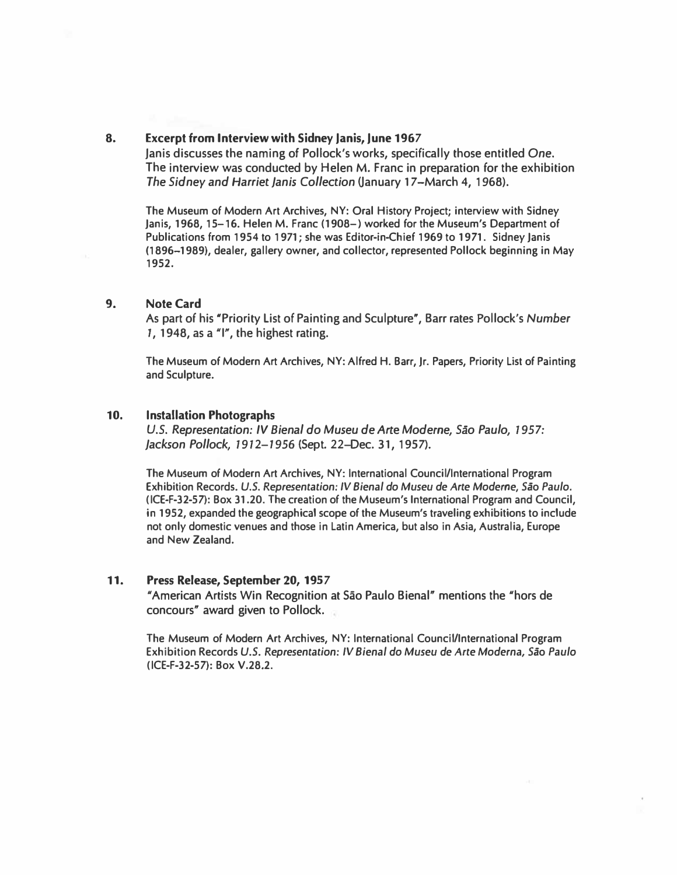### 8. Excerpt from Interview with Sidney Janis, June 1967

Janis discusses the naming of Pollock's works, specifically those entitled One. The interview was conducted by Helen M. Franc in preparation for the exhibition The Sidney and Harriet Janis Collection (January 17–March 4, 1968).

The Museum of Modern Art Archives, NY: Oral History Project; interview with Sidney Janis, 1968, 15-16. Helen M. Franc (1908-) worked for the Museum's Department of Publications from 1954 to 1971; she was Editor-in-Chief 1969 to 1971. Sidney Janis (1896-1989), dealer, gallery owner, and collector, represented Pollock beginning in May 1952.

### 9. Note Card

As part of his "Priority List of Painting and Sculpture", Barr rates Pollock's Number 1, 1948, as a  $\gamma$ ", the highest rating.

The Museum of Modern Art Archives, NY: Alfred H. Barr, Jr. Papers, Priority List of Painting and Sculpture.

#### 10. Installation Photographs

U.S. Representation: IV Bienal do Museu de Arte Moderne, Sao Paulo, 1957: Jackson Pollock, 1912- 1956 (Sept. 22-Dec. 3 1, 1957).

The Museum of Modern Art Archives, NY: International Council/International Program Exhibition Records. U.S. Representation: IV Bienal do Museu de Arte Moderne, Sao Paulo. (ICE-F-32-57): Box 31.20. The creation of the Museum's International Program and Council, in 1952, expanded the geographical scope of the Museum's traveling exhibitions to include not only domestic venues and those in Latin America, but also in Asia, Australia, Europe and New Zealand.

### 11. Press Release, September 20, 1957

"American Artists Win Recognition at Sao Paulo Bienal" mentions the "hors de concours" award given to Pollock.

The Museum of Modern Art Archives, NY: International Council/International Program Exhibition Records U.S. Representation: IV Bienal do Museu de Arte Moderna, Sao Paulo (ICE-F-32-57): Box V.28.2.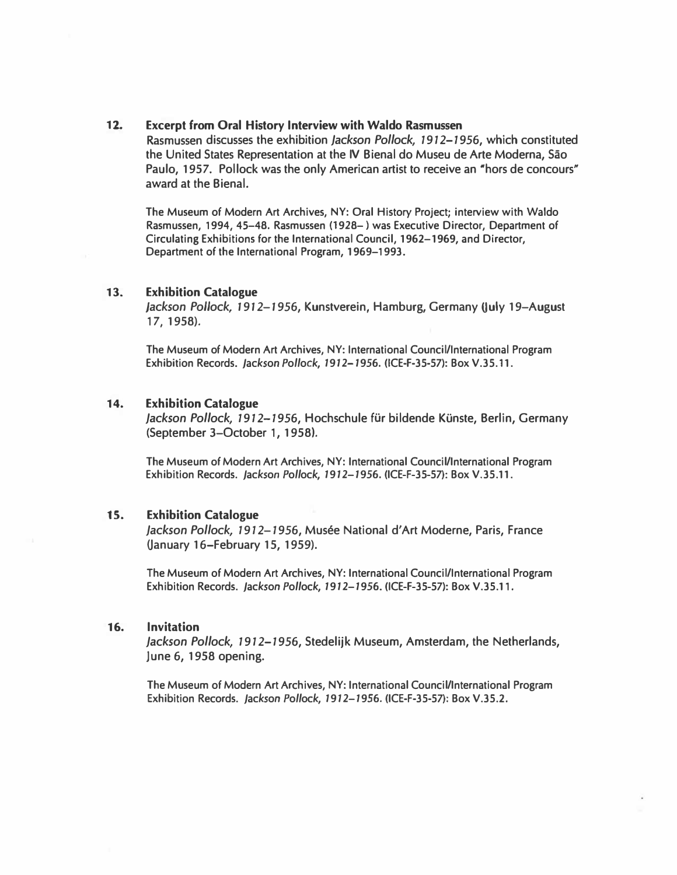### 12. Excerpt from Oral History Interview with Waldo Rasmussen

Rasmussen discusses the exhibition Jackson Pollock, 1912-1956, which constituted the United States Representation at the IV Bienal do Museu de Arte Moderna, Sao Paulo, 1957. Pollock was the only American artist to receive an "hors de concours" award at the Bienal.

The Museum of Modern Art Archives, NY: Oral History Project; interview with Waldo Rasmussen, 1994, 45-48. Rasmussen (1928- ) was Executive Director, Department of Circulating Exhibitions for the International Council, 1962-1969, and Director, Department of the International Program, 1969-1993.

#### 13. Exhibition Catalogue

Jackson Pollock, 1912–1956, Kunstverein, Hamburg, Germany (July 19–August 17, 1958).

The Museum of Modern Art Archives, NY: International Council/International Program Exhibition Records. Jackson Pollock, 1912-1956. (ICE-F-35-57): Box V.35.11.

### 14. Exhibition Catalogue

Jackson Pollock, 1912-1956, Hochschule für bildende Künste, Berlin, Germany (September 3-0ctober 1, 1958).

The Museum of Modern Art Archives, NY: International Council/International Program Exhibition Records. Jackson Pollock, 1912-1956. (ICE-F-35-57): Box V.35.11.

#### 15. Exhibition Catalogue

Jackson Pollock, 1912-1956, Musée National d'Art Moderne, Paris, France (January 16-February 15, 1959).

The Museum of Modern Art Archives, NY: International Council/International Program Exhibition Records. Jackson Pollock, 1912-1956. (ICE-F-35-57): Box V.35.11.

#### 16. Invitation

Jackson Pollock, 1912-1956, Stedelijk Museum, Amsterdam, the Netherlands, June 6, 1958 opening.

The Museum of Modern Art Archives, NY: International Council/International Program Exhibition Records. Jackson Pollock, 1912-1956. (ICE-F-35-57): Box V.35.2.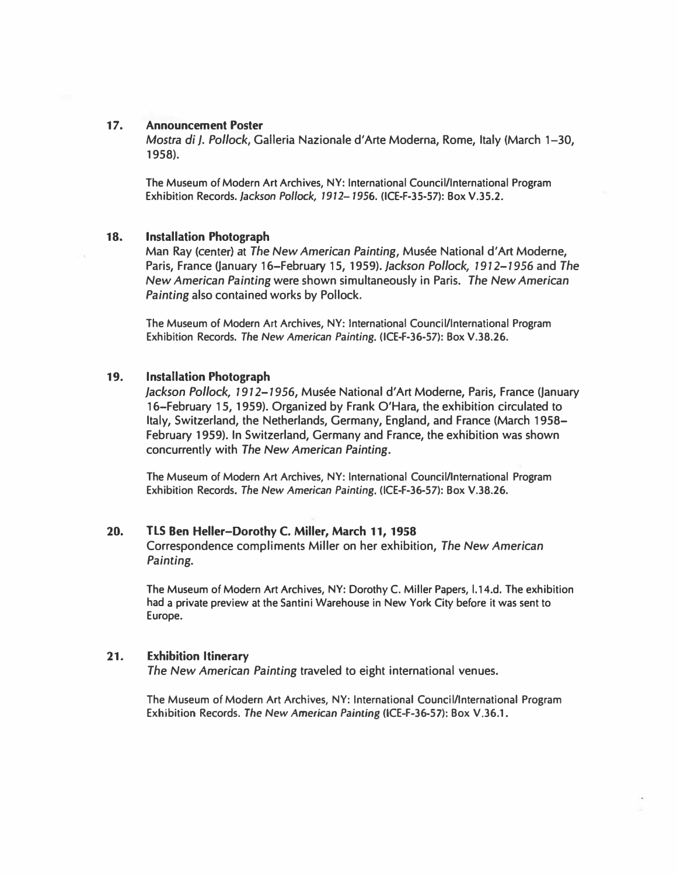#### 17. Announcement Poster

Mostra d; J. Pollock, Galleria Nazionale d'Arte Moderna, Rome, Italy (March 1-30, 1958).

The Museum of Modern Art Archives, NY: International Council/International Program Exhibition Records. Jackson Pollock, 1912-1956. (ICE-F-35-57): Box V.35.2.

#### 18. Installation Photograph

Man Ray (center) at The New American Painting, Musée National d'Art Moderne, Paris, France (January 16-February 15, 1959). Jackson Pollock, 1912-1956 and The New American Painting were shown simultaneously in Paris. The New American Painting also contained works by Pollock.

The Museum of Modern Art Archives, NY: International Council/International Program Exhibition Records. The New American Painting. (ICE-F-36-57): Box V.38.26.

#### 19. Installation Photograph

Jackson Pollock, 1912-1956, Musée National d'Art Moderne, Paris, France (January 16-February 15, 1959). Organized by Frank O'Hara, the exhibition circulated to Italy, Switzerland, the Netherlands, Germany, England, and France (March 1958- February 1959). In Switzerland, Germany and France, the exhibition was shown concurrently with The New American Painting.

The Museum of Modern Art Archives, NY: International Council/International Program Exhibition Records. The New American Painting. (ICE-F-36-57): Box V.38.26.

#### 20. TLS Ben Heller-Dorothy C. Miller, March 11, 1958

Correspondence compliments Miller on her exhibition, The New American Painting.

The Museum of Modern Art Archives, NY: Dorothy C. Miller Papers, l.14.d. The exhibition had a private preview at the Santini Warehouse in New York City before it was sent to Europe.

#### 21. Exhibition Itinerary

The New American Painting traveled to eight international venues.

The Museum of Modern Art Archives, NY: International Council/International Program Exhibition Records. The New American Painting (ICE-F-36-57): Box V.36.1.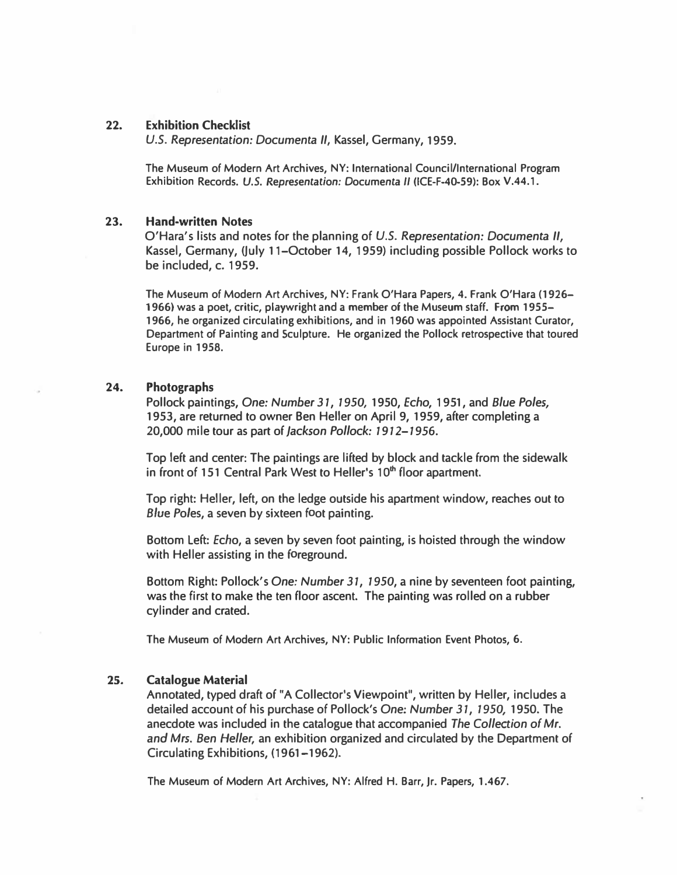### 22. Exhibition Checklist

U.S. Representation: Documenta II, Kassel, Germany, 1959.

The Museum of Modern Art Archives, NY: International Council/International Program Exhibition Records. U.S. Representation: Documenta II (ICE-F-40-59): Box V.44.1.

### 23. Hand-written Notes

O'Hara's lists and notes for the planning of U.S. Representation: Documenta II, Kassel, Germany, (July 1 1-0ctober 14, 1959) including possible Pollock works to be included, c. 1959.

The Museum of Modern Art Archives, NY: Frank O'Hara Papers, 4. Frank O'Hara (1926- 1966) was a poet, critic, playwright and a member of the Museum staff. From 1955- 1966, he organized circulating exhibitions, and in 1960 was appointed Assistant Curator, Department of Painting and Sculpture. He organized the Pollock retrospective that toured Europe in 1958.

### 24. Photographs

Pollock paintings, One: Number 31, 1950, 1950, Echo, 1951, and Blue Poles, 1953, are returned to owner Ben Heller on April 9, 1959, after completing a 20,000 mile tour as part of Jackson Pollock: 1912-1956.

Top left and center: The paintings are lifted by block and tackle from the sidewalk in front of 151 Central Park West to Heller's 10<sup>th</sup> floor apartment.

Top right: Heller, left, on the ledge outside his apartment window, reaches out to Blue Poles, a seven by sixteen foot painting.

Bottom Left: Echo, a seven by seven foot painting, is hoisted through the window with Heller assisting in the foreground.

Bottom Right: Pollock's One: Number 31, 1950, a nine by seventeen foot painting, was the first to make the ten floor ascent. The painting was rolled on a rubber cylinder and crated.

The Museum of Modern Art Archives, NY: Public Information Event Photos, 6.

#### 25. Catalogue Material

Annotated, typed draft of "A Collector's Viewpoint", written by Heller, includes a detailed account of his purchase of Pollock's One: Number 31, 1950, 1950. The anecdote was included in the catalogue that accompanied The Collection of Mr. and Mrs. Ben Heller, an exhibition organized and circulated by the Department of Circulating Exhibitions, (1961-1962).

The Museum of Modern Art Archives, NY: Alfred H. Barr, Jr. Papers, 1.467.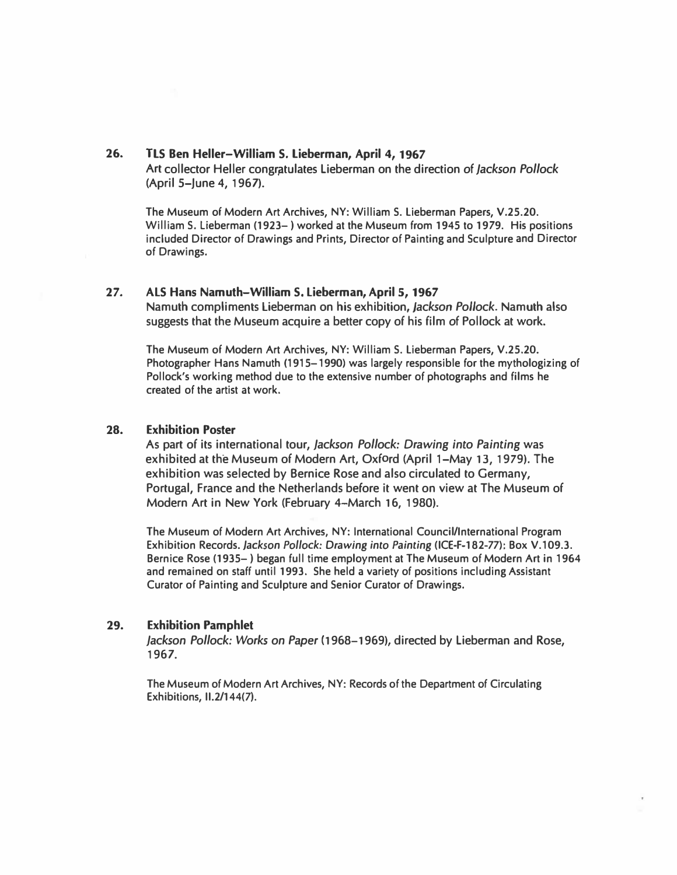### 26. TLS Ben Heller-William S. Lieberman, April 4, 1967

Art collector Heller congratulates Lieberman on the direction of Jackson Pollock (April 5-June 4, 1967).

The Museum of Modern Art Archives, NY: William S. Lieberman Papers, V.25.20. William S. Lieberman (1923-) worked at the Museum from 1945 to 1979. His positions included Director of Drawings and Prints, Director of Painting and Sculpture and Director of Drawings.

### 27. ALS Hans Namuth-William S. Lieberman, April 5, 1967

Namuth compliments Lieberman on his exhibition, Jackson Pollock. Namuth also suggests that the Museum acquire a better copy of his film of Pollock at work.

The Museum of Modern Art Archives, NY: William S. Lieberman Papers, V.25.20. Photographer Hans Namuth (1915-1990) was largely responsible for the mythologizing of Pollock's working method due to the extensive number of photographs and films he created of the artist at work.

### 28. Exhibition Poster

As part of its international tour, Jackson Pollock: Drawing into Painting was exhibited at the Museum of Modern Art, Oxford (April 1-May 13, 1979). The exhibition was selected by Bernice Rose and also circulated to Germany, Portugal, France and the Netherlands before it went on view at The Museum of Modern Art in New York (February 4-March 16, 1980).

The Museum of Modern Art Archives, NY: International Council/International Program Exhibition Records. Jackson Pollock: Drawing into Painting (ICE-F-182-77): Box V.109.3. Bernice Rose (1935- ) began full time employment at The Museum of Modern Art in 1964 and remained on staff until 1993. She held a variety of positions including Assistant Curator of Painting and Sculpture and Senior Curator of Drawings.

### 29. Exhibition Pamphlet

Jackson Pollock: Works on Paper (1968-1969), directed by Lieberman and Rose, 1967.

The Museum of Modern Art Archives, NY: Records of the Department of Circulating Exhibitions, 11.2/144(7).